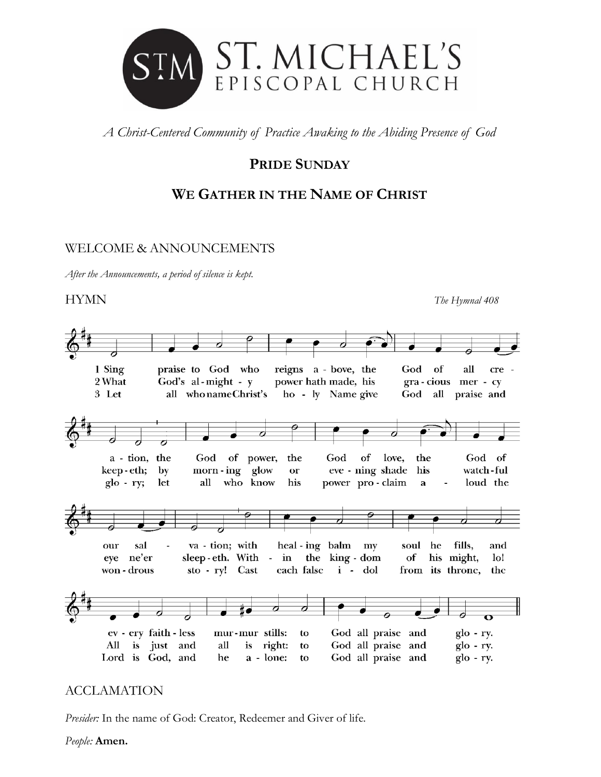

*A Christ-Centered Community of Practice Awaking to the Abiding Presence of God*

# **PRIDE SUNDAY**

# **WE GATHER IN THE NAME OF CHRIST**

# WELCOME & ANNOUNCEMENTS

*After the Announcements, a period of silence is kept.* 

## HYMN *The Hymnal 408*

1 Sing  $\mathbf{of}% =\mathbf{A}\mathbf{,}$ praise to God who reigns a - bove, the God all cre God's al-might -  $y$ power hath made, his 2 What gra-cious mer-cy 3 Let all who name Christ's ho - ly Name give God all praise and a - tion, the God of power, the God of love, God of the morn-ing glow eve - ning shade keep-eth; by or his watch-ful who know power pro-claim  $g$ lo - ry; let all his loud the  $\mathbf{a}$ heal - ing balm my va - tion; with soul he fills, our sal and sleep-eth. With - in the king-dom of his might, eye ne'er  $1<sub>o</sub>!$ won - drous sto - ry! Cast each false i - dol from its throne, the ev - ery faith - less mur-mur stills: God all praise and  $g$ lo - ry. to is right: God all praise and  $g$ lo - ry. All is just and all to God all praise and Lord is God, and he a - lone: to  $g$ lo - ry.

# ACCLAMATION

*Presider:* In the name of God: Creator, Redeemer and Giver of life.

*People:* **Amen.**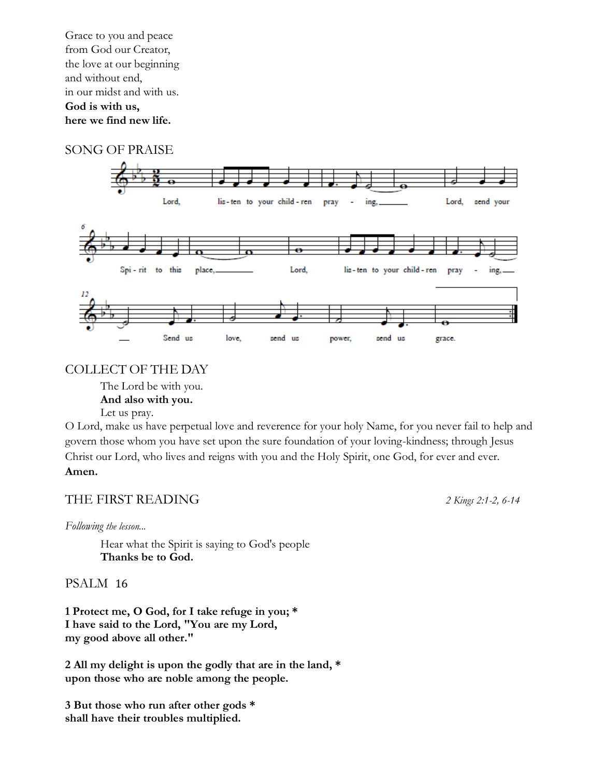Grace to you and peace from God our Creator, the love at our beginning and without end, in our midst and with us. **God is with us, here we find new life.**

### SONG OF PRAISE



### COLLECT OF THE DAY

The Lord be with you. **And also with you.** Let us pray.

O Lord, make us have perpetual love and reverence for your holy Name, for you never fail to help and govern those whom you have set upon the sure foundation of your loving-kindness; through Jesus Christ our Lord, who lives and reigns with you and the Holy Spirit, one God, for ever and ever. **Amen.**

### THE FIRST READING*2 Kings 2:1-2, 6-14*

*Following the lesson...*

Hear what the Spirit is saying to God's people **Thanks be to God.**

### PSALM 16

**1 Protect me, O God, for I take refuge in you; \* I have said to the Lord, "You are my Lord, my good above all other."**

**2 All my delight is upon the godly that are in the land, \* upon those who are noble among the people.**

**3 But those who run after other gods \* shall have their troubles multiplied.**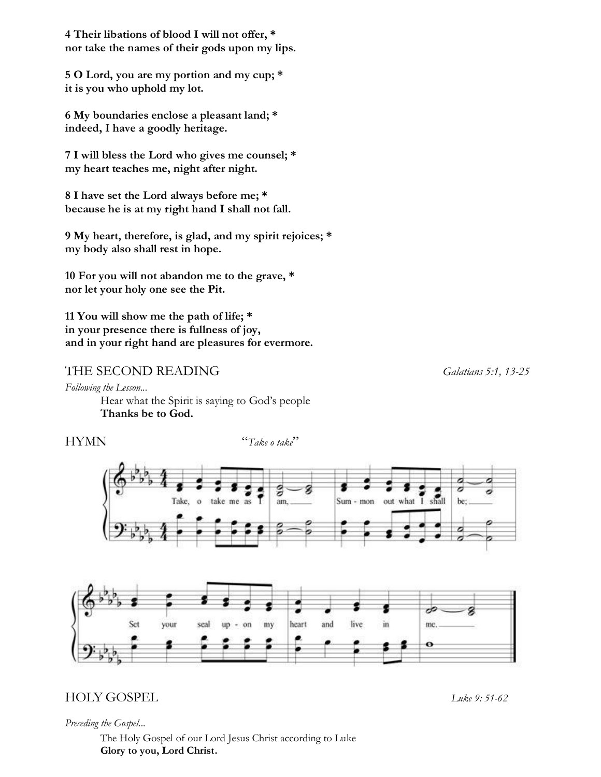**4 Their libations of blood I will not offer, \* nor take the names of their gods upon my lips.**

**5 O Lord, you are my portion and my cup; \* it is you who uphold my lot.**

**6 My boundaries enclose a pleasant land; \* indeed, I have a goodly heritage.**

**7 I will bless the Lord who gives me counsel; \* my heart teaches me, night after night.**

**8 I have set the Lord always before me; \* because he is at my right hand I shall not fall.**

**9 My heart, therefore, is glad, and my spirit rejoices; \* my body also shall rest in hope.**

**10 For you will not abandon me to the grave, \* nor let your holy one see the Pit.**

**11 You will show me the path of life; \* in your presence there is fullness of joy, and in your right hand are pleasures for evermore.**

### THE SECOND READING *Galatians 5:1, 13-25*

*Following the Lesson...*

Hear what the Spirit is saying to God's people **Thanks be to God.**

HYMN "*Take o take*"





# HOLY GOSPEL*Luke 9: 51-62*

*Preceding the Gospel...*

The Holy Gospel of our Lord Jesus Christ according to Luke **Glory to you, Lord Christ.**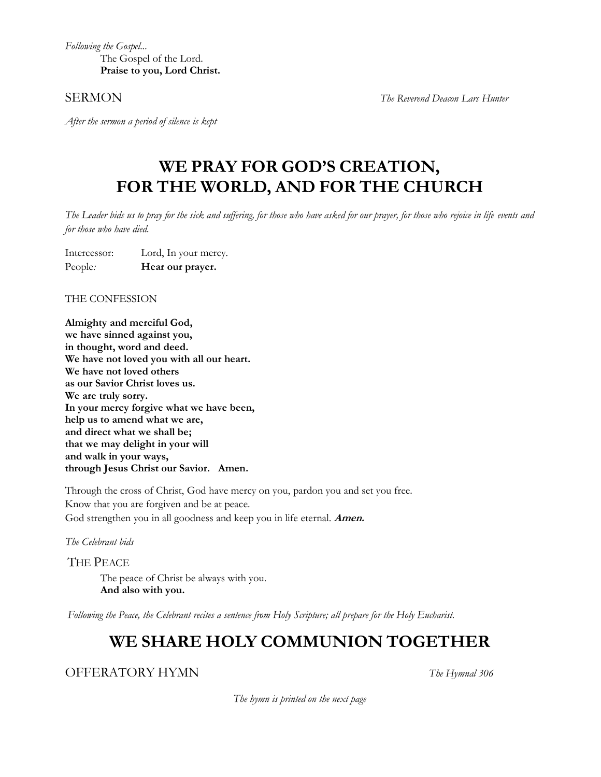*Following the Gospel...*  The Gospel of the Lord. **Praise to you, Lord Christ.**

SERMON *The Reverend Deacon Lars Hunter* 

*After the sermon a period of silence is kept*

# **WE PRAY FOR GOD'S CREATION, FOR THE WORLD, AND FOR THE CHURCH**

*The Leader bids us to pray for the sick and suffering, for those who have asked for our prayer, for those who rejoice in life events and for those who have died.* 

Intercessor: Lord, In your mercy. People*:* **Hear our prayer.** 

THE CONFESSION

**Almighty and merciful God, we have sinned against you, in thought, word and deed. We have not loved you with all our heart. We have not loved others as our Savior Christ loves us. We are truly sorry. In your mercy forgive what we have been, help us to amend what we are, and direct what we shall be; that we may delight in your will and walk in your ways, through Jesus Christ our Savior. Amen.**

Through the cross of Christ, God have mercy on you, pardon you and set you free. Know that you are forgiven and be at peace. God strengthen you in all goodness and keep you in life eternal. **Amen.**

*The Celebrant bids*

THE PEACE The peace of Christ be always with you. **And also with you.**

*Following the Peace, the Celebrant recites a sentence from Holy Scripture; all prepare for the Holy Eucharist.*

# **WE SHARE HOLY COMMUNION TOGETHER**

OFFERATORY HYMN *The Hymnal 306*

*The hymn is printed on the next page*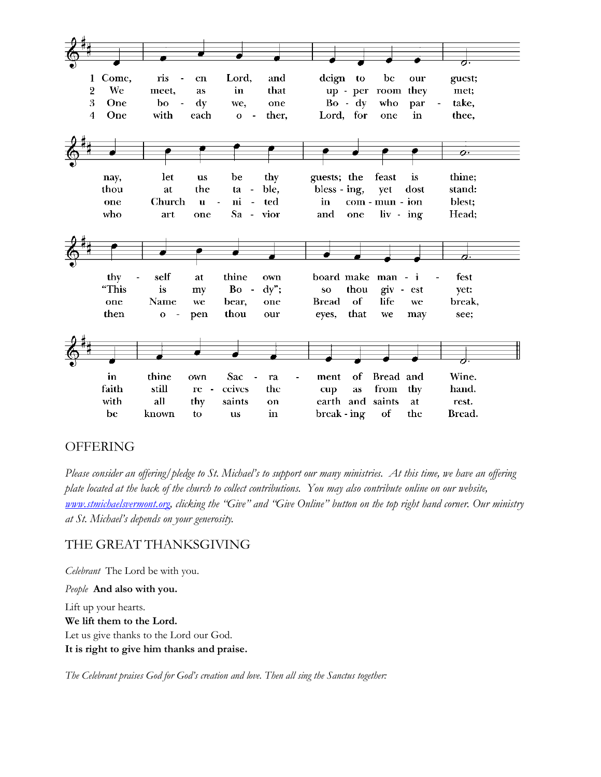

# OFFERING

*Please consider an offering/pledge to St. Michael's to support our many ministries. At this time, we have an offering plate located at the back of the church to collect contributions. You may also contribute online on our website, [www.stmichaelsvermont.org,](http://www.stmichaelsvermont.org/) clicking the "Give" and "Give Online" button on the top right hand corner. Our ministry at St. Michael's depends on your generosity.* 

# THE GREAT THANKSGIVING

*Celebrant* The Lord be with you. *People* **And also with you.** Lift up your hearts. **We lift them to the Lord.** Let us give thanks to the Lord our God.

**It is right to give him thanks and praise.** 

*The Celebrant praises God for God's creation and love. Then all sing the Sanctus together:*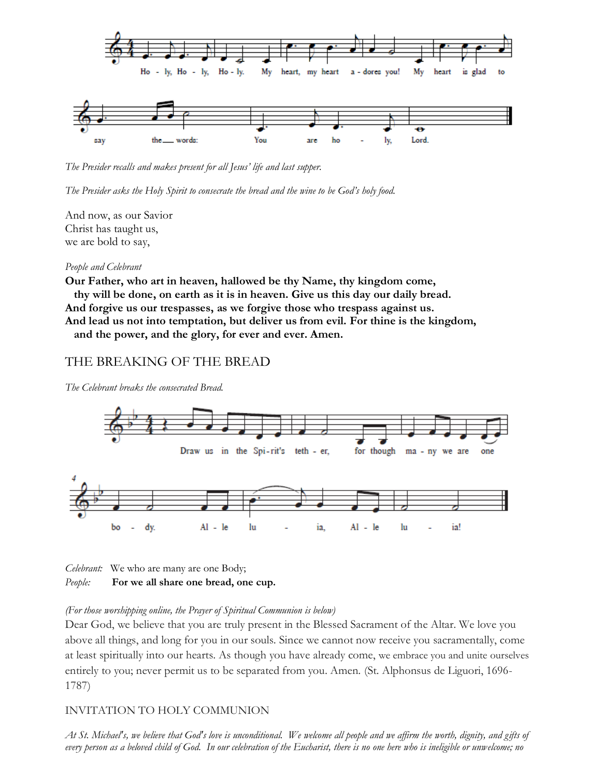

*The Presider recalls and makes present for all Jesus' life and last supper.* 

*The Presider asks the Holy Spirit to consecrate the bread and the wine to be God's holy food.*

And now, as our Savior Christ has taught us, we are bold to say,

#### *People and Celebrant*

**Our Father, who art in heaven, hallowed be thy Name, thy kingdom come, thy will be done, on earth as it is in heaven. Give us this day our daily bread. And forgive us our trespasses, as we forgive those who trespass against us. And lead us not into temptation, but deliver us from evil. For thine is the kingdom, and the power, and the glory, for ever and ever. Amen.**

### THE BREAKING OF THE BREAD

*The Celebrant breaks the consecrated Bread.* 





#### *(For those worshipping online, the Prayer of Spiritual Communion is below)*

Dear God, we believe that you are truly present in the Blessed Sacrament of the Altar. We love you above all things, and long for you in our souls. Since we cannot now receive you sacramentally, come at least spiritually into our hearts. As though you have already come, we embrace you and unite ourselves entirely to you; never permit us to be separated from you. Amen. (St. Alphonsus de Liguori, 1696- 1787)

### INVITATION TO HOLY COMMUNION

*At St. Michael's, we believe that God's love is unconditional. We welcome all people and we affirm the worth, dignity, and gifts of every person as a beloved child of God. In our celebration of the Eucharist, there is no one here who is ineligible or unwelcome; no*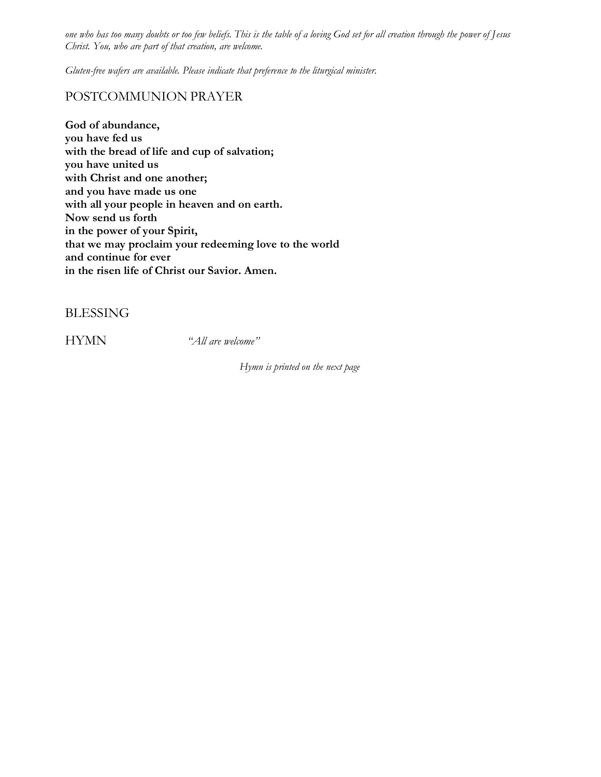*one who has too many doubts or too few beliefs. This is the table of a loving God set for all creation through the power of Jesus Christ. You, who are part of that creation, are welcome.* 

*Gluten-free wafers are available. Please indicate that preference to the liturgical minister.*

### POSTCOMMUNION PRAYER

**God of abundance, you have fed us with the bread of life and cup of salvation; you have united us with Christ and one another; and you have made us one with all your people in heaven and on earth. Now send us forth in the power of your Spirit, that we may proclaim your redeeming love to the world and continue for ever in the risen life of Christ our Savior. Amen.** 

BLESSING

HYMN *"All are welcome"*

*Hymn is printed on the next page*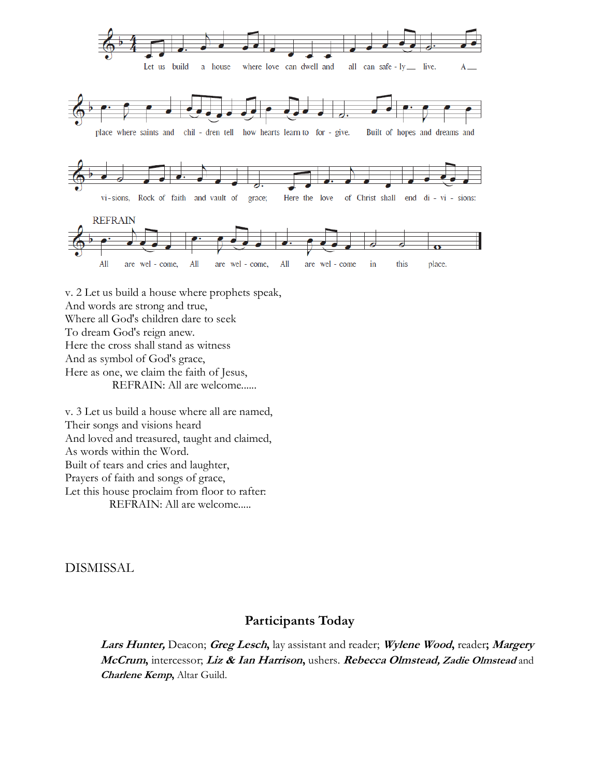

v. 2 Let us build a house where prophets speak, And words are strong and true, Where all God's children dare to seek To dream God's reign anew. Here the cross shall stand as witness And as symbol of God's grace, Here as one, we claim the faith of Jesus, REFRAIN: All are welcome......

v. 3 Let us build a house where all are named, Their songs and visions heard And loved and treasured, taught and claimed, As words within the Word. Built of tears and cries and laughter, Prayers of faith and songs of grace, Let this house proclaim from floor to rafter: REFRAIN: All are welcome.....

DISMISSAL

### **Participants Today**

**Lars Hunter,** Deacon; **Greg Lesch,** lay assistant and reader; **Wylene Wood,** reader**; Margery McCrum,** intercessor; **Liz & Ian Harrison,** ushers. **Rebecca Olmstead, Zadie Olmstead** and **Charlene Kemp,** Altar Guild.